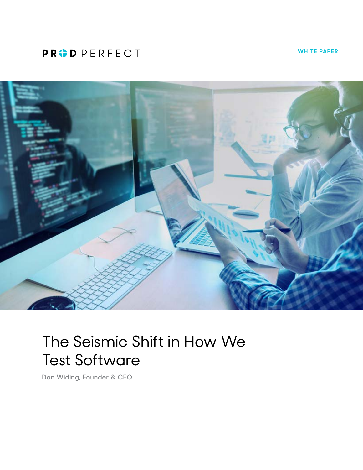## **PRODPERFECT**

**WHITE PAPER**



# The Seismic Shift in How We Test Software

**Dan Widing, Founder & CEO**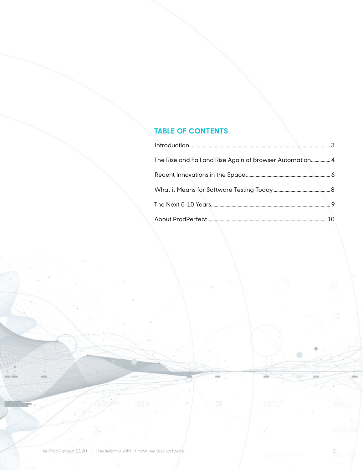### **TABLE OF CONTENTS**

| The Rise and Fall and Rise Again of Browser Automation 4 |  |
|----------------------------------------------------------|--|
|                                                          |  |
|                                                          |  |
|                                                          |  |
|                                                          |  |

 $\qquad \qquad \oplus$ 

mi

 $J\overline{S}$ 

×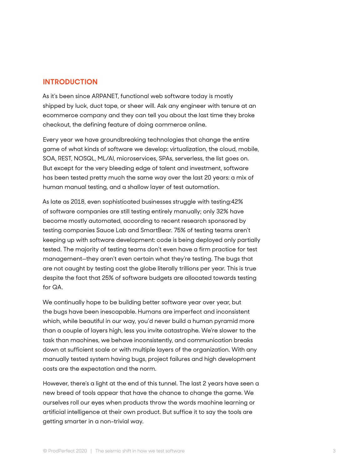#### <span id="page-2-0"></span>**INTRODUCTION**

As it's been since ARPANET, functional web software today is mostly shipped by luck, duct tape, or sheer will. Ask any engineer with tenure at an ecommerce company and they can tell you about the last time they broke checkout, the defining feature of doing commerce online.

Every year we have groundbreaking technologies that change the entire game of what kinds of software we develop: virtualization, the cloud, mobile, SOA, REST, NOSQL, ML/AI, microservices, SPAs, serverless, the list goes on. But except for the very bleeding edge of talent and investment, software has been tested pretty much the same way over the last 20 years: a mix of human manual testing, and a shallow layer of test automation.

As late as 2018, even sophisticated businesses struggle with testing:42% of software companies are still testing entirely manually; only 32% have become mostly automated, according to recent research sponsored by testing companies Sauce Lab and SmartBear. 75% of testing teams aren't keeping up with software development: code is being deployed only partially tested. The majority of testing teams don't even have a firm practice for test management—they aren't even certain what they're testing. The bugs that are not caught by testing cost the globe literally trillions per year. This is true despite the fact that 25% of software budgets are allocated towards testing for QA.

We continually hope to be building better software year over year, but the bugs have been inescapable. Humans are imperfect and inconsistent which, while beautiful in our way, you'd never build a human pyramid more than a couple of layers high, less you invite catastrophe. We're slower to the task than machines, we behave inconsistently, and communication breaks down at sufficient scale or with multiple layers of the organization. With any manually tested system having bugs, project failures and high development costs are the expectation and the norm.

However, there's a light at the end of this tunnel. The last 2 years have seen a new breed of tools appear that have the chance to change the game. We ourselves roll our eyes when products throw the words machine learning or artificial intelligence at their own product. But suffice it to say the tools are getting smarter in a non-trivial way.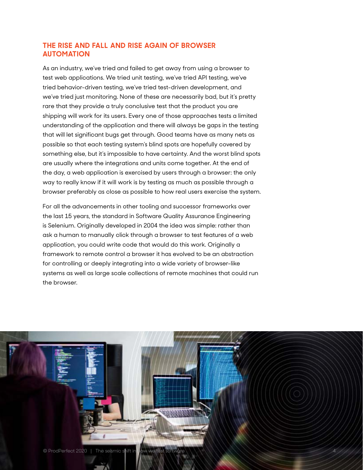#### <span id="page-3-0"></span>**THE RISE AND FALL AND RISE AGAIN OF BROWSER AUTOMATION**

As an industry, we've tried and failed to get away from using a browser to test web applications. We tried unit testing, we've tried API testing, we've tried behavior-driven testing, we've tried test-driven development, and we've tried just monitoring. None of these are necessarily bad, but it's pretty rare that they provide a truly conclusive test that the product you are shipping will work for its users. Every one of those approaches tests a limited understanding of the application and there will always be gaps in the testing that will let significant bugs get through. Good teams have as many nets as possible so that each testing system's blind spots are hopefully covered by something else, but it's impossible to have certainty. And the worst blind spots are usually where the integrations and units come together. At the end of the day, a web application is exercised by users through a browser: the only way to really know if it will work is by testing as much as possible through a browser preferably as close as possible to how real users exercise the system.

For all the advancements in other tooling and successor frameworks over the last 15 years, the standard in Software Quality Assurance Engineering is Selenium. Originally developed in 2004 the idea was simple: rather than ask a human to manually click through a browser to test features of a web application, you could write code that would do this work. Originally a framework to remote control a browser it has evolved to be an abstraction for controlling or deeply integrating into a wide variety of browser-like systems as well as large scale collections of remote machines that could run the browser.

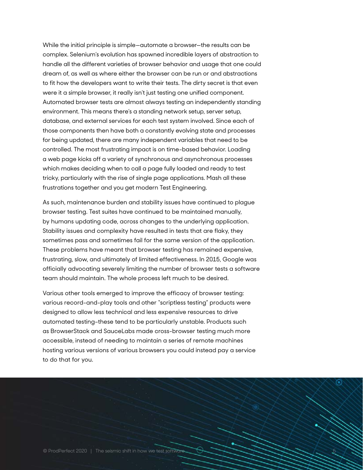<span id="page-4-0"></span>While the initial principle is simple—automate a browser—the results can be complex. Selenium's evolution has spawned incredible layers of abstraction to handle all the different varieties of browser behavior and usage that one could dream of, as well as where either the browser can be run or and abstractions to fit how the developers want to write their tests. The dirty secret is that even were it a simple browser, it really isn't just testing one unified component. Automated browser tests are almost always testing an independently standing environment. This means there's a standing network setup, server setup, database, and external services for each test system involved. Since each of those components then have both a constantly evolving state and processes for being updated, there are many independent variables that need to be controlled. The most frustrating impact is on time-based behavior. Loading a web page kicks off a variety of synchronous and asynchronous processes which makes deciding when to call a page fully loaded and ready to test tricky, particularly with the rise of single page applications. Mash all these frustrations together and you get modern Test Engineering.

As such, maintenance burden and stability issues have continued to plague browser testing. Test suites have continued to be maintained manually, by humans updating code, across changes to the underlying application. Stability issues and complexity have resulted in tests that are flaky, they sometimes pass and sometimes fail for the same version of the application. These problems have meant that browser testing has remained expensive, frustrating, slow, and ultimately of limited effectiveness. In 2015, Google was officially advocating severely limiting the number of browser tests a software team should maintain. The whole process left much to be desired.

Various other tools emerged to improve the efficacy of browser testing: various record-and-play tools and other "scriptless testing" products were designed to allow less technical and less expensive resources to drive automated testing–these tend to be particularly unstable. Products such as BrowserStack and SauceLabs made cross-browser testing much more accessible, instead of needing to maintain a series of remote machines hosting various versions of various browsers you could instead pay a service to do that for you.

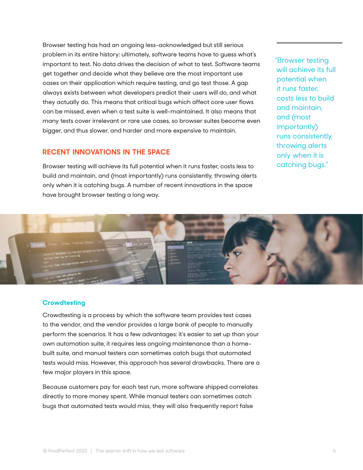Browser testing has had an ongoing less-acknowledged but still serious problem in its entire history: ultimately, software teams have to guess what's important to test. No data drives the decision of what to test. Software teams get together and decide what they believe are the most important use cases on their application which require testing, and go test those. A gap always exists between what developers predict their users will do, and what they actually do. This means that critical bugs which affect core user flows can be missed, even when a test suite is well-maintained. It also means that many tests cover irrelevant or rare use cases, so browser suites become even bigger, and thus slower, and harder and more expensive to maintain.

#### **RECENT INNOVATIONS IN THE SPACE**

Browser testing will achieve its full potential when it runs faster, costs less to build and maintain, and (most importantly) runs consistently, throwing alerts only when it is catching bugs. A number of recent innovations in the space have brought browser testing a long way.

"Browser testing will achieve its full potential when it runs faster, costs less to build and maintain, and (most importantly) runs consistently, throwing alerts only when it is catching bugs."



#### **Crowdtesting**

Crowdtesting is a process by which the software team provides test cases to the vendor, and the vendor provides a large bank of people to manually perform the scenarios. It has a few advantages: it's easier to set up than your own automation suite, it requires less ongoing maintenance than a homebuilt suite, and manual testers can sometimes catch bugs that automated tests would miss. However, this approach has several drawbacks. There are a few major players in this space.

Because customers pay for each test run, more software shipped correlates directly to more money spent. While manual testers can sometimes catch bugs that automated tests would miss, they will also frequently report false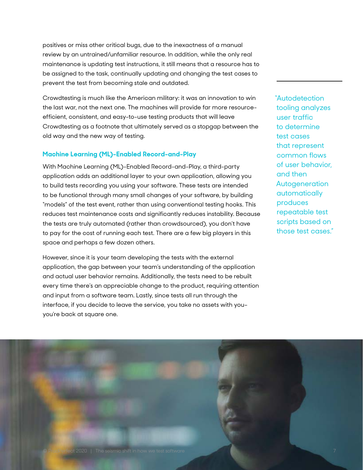positives or miss other critical bugs, due to the inexactness of a manual review by an untrained/unfamiliar resource. In addition, while the only real maintenance is updating test instructions, it still means that a resource has to be assigned to the task, continually updating and changing the test cases to prevent the test from becoming stale and outdated.

Crowdtesting is much like the American military: it was an innovation to win the last war, not the next one. The machines will provide far more resourceefficient, consistent, and easy-to-use testing products that will leave Crowdtesting as a footnote that ultimately served as a stopgap between the old way and the new way of testing.

#### **Machine Learning (ML)-Enabled Record-and-Play**

With Machine Learning (ML)-Enabled Record-and-Play, a third-party application adds an additional layer to your own application, allowing you to build tests recording you using your software. These tests are intended to be functional through many small changes of your software, by building "models" of the test event, rather than using conventional testing hooks. This reduces test maintenance costs and significantly reduces instability. Because the tests are truly automated (rather than crowdsourced), you don't have to pay for the cost of running each test. There are a few big players in this space and perhaps a few dozen others.

However, since it is your team developing the tests with the external application, the gap between your team's understanding of the application and actual user behavior remains. Additionally, the tests need to be rebuilt every time there's an appreciable change to the product, requiring attention and input from a software team. Lastly, since tests all run through the interface, if you decide to leave the service, you take no assets with you– you're back at square one.

"Autodetection tooling analyzes user traffic to determine test cases that represent common flows of user behavior, and then Autogeneration automatically produces repeatable test scripts based on those test cases."

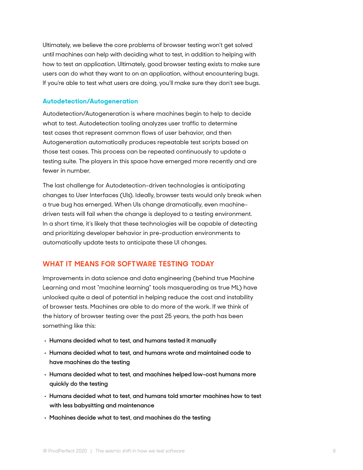Ultimately, we believe the core problems of browser testing won't get solved until machines can help with deciding what to test, in addition to helping with how to test an application. Ultimately, good browser testing exists to make sure users can do what they want to on an application, without encountering bugs. If you're able to test what users are doing, you'll make sure they don't see bugs.

#### **Autodetection/Autogeneration**

Autodetection/Autogeneration is where machines begin to help to decide what to test. Autodetection tooling analyzes user traffic to determine test cases that represent common flows of user behavior, and then Autogeneration automatically produces repeatable test scripts based on those test cases. This process can be repeated continuously to update a testing suite. The players in this space have emerged more recently and are fewer in number.

The last challenge for Autodetection-driven technologies is anticipating changes to User Interfaces (UIs). Ideally, browser tests would only break when a true bug has emerged. When UIs change dramatically, even machinedriven tests will fail when the change is deployed to a testing environment. In a short time, it's likely that these technologies will be capable of detecting and prioritizing developer behavior in pre-production environments to automatically update tests to anticipate these UI changes.

#### **WHAT IT MEANS FOR SOFTWARE TESTING TODAY**

Improvements in data science and data engineering (behind true Machine Learning and most "machine learning" tools masquerading as true ML) have unlocked quite a deal of potential in helping reduce the cost and instability of browser tests. Machines are able to do more of the work. If we think of the history of browser testing over the past 25 years, the path has been something like this:

- **• Humans decided what to test, and humans tested it manually**
- **• Humans decided what to test, and humans wrote and maintained code to have machines do the testing**
- **• Humans decided what to test, and machines helped low-cost humans more quickly do the testing**
- **• Humans decided what to test, and humans told smarter machines how to test with less babysitting and maintenance**
- **• Machines decide what to test, and machines do the testing**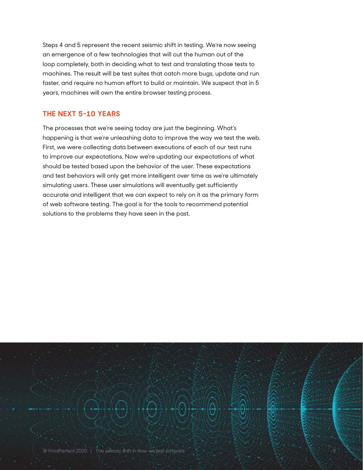Steps 4 and 5 represent the recent seismic shift in testing. We're now seeing an emergence of a few technologies that will cut the human out of the loop completely, both in deciding what to test and translating those tests to machines. The result will be test suites that catch more bugs, update and run faster, and require no human effort to build or maintain. We suspect that in 5 years, machines will own the entire browser testing process.

#### **THE NEXT 5-10 YEARS**

The processes that we're seeing today are just the beginning. What's happening is that we're unleashing data to improve the way we test the web. First, we were collecting data between executions of each of our test runs to improve our expectations. Now we're updating our expectations of what should be tested based upon the behavior of the user. These expectations and test behaviors will only get more intelligent over time as we're ultimately simulating users. These user simulations will eventually get sufficiently accurate and intelligent that we can expect to rely on it as the primary form of web software testing. The goal is for the tools to recommend potential solutions to the problems they have seen in the past.

© ProdPerfect 2020 | The seismic shift in how we test software 9